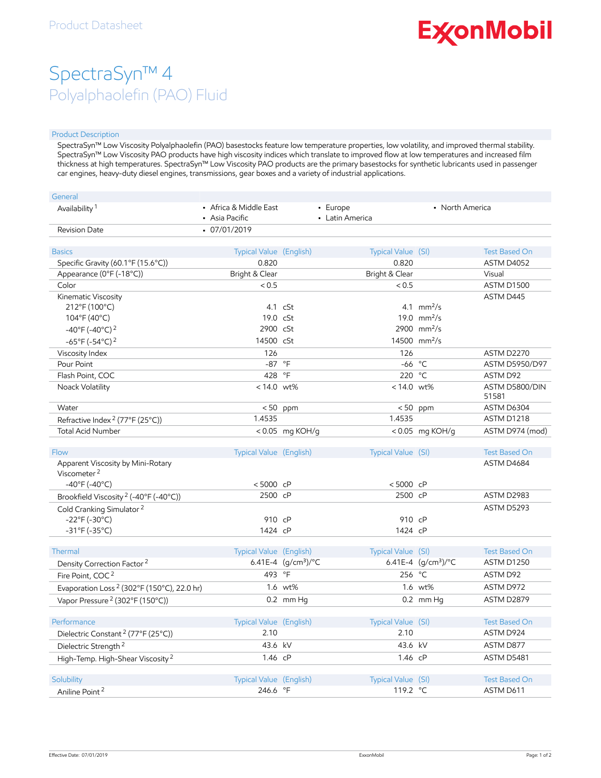# **ExconMobil**

## SpectraSyn™ 4 Polyalphaolefin (PAO) Fluid

### Product Description

SpectraSyn™ Low Viscosity Polyalphaolefin (PAO) basestocks feature low temperature properties, low volatility, and improved thermal stability. SpectraSyn™ Low Viscosity PAO products have high viscosity indices which translate to improved flow at low temperatures and increased film thickness at high temperatures. SpectraSyn™ Low Viscosity PAO products are the primary basestocks for synthetic lubricants used in passenger car engines, heavy-duty diesel engines, transmissions, gear boxes and a variety of industrial applications.

| General                                                      |                                          |                              |                             |                                |                         |  |
|--------------------------------------------------------------|------------------------------------------|------------------------------|-----------------------------|--------------------------------|-------------------------|--|
| Availability <sup>1</sup>                                    | • Africa & Middle East<br>• Asia Pacific |                              | • Europe<br>• Latin America |                                | • North America         |  |
| <b>Revision Date</b>                                         | $-07/01/2019$                            |                              |                             |                                |                         |  |
|                                                              |                                          |                              |                             |                                |                         |  |
| <b>Basics</b>                                                | Typical Value (English)                  |                              | Typical Value (SI)          |                                | <b>Test Based On</b>    |  |
| Specific Gravity (60.1°F (15.6°C))                           | 0.820                                    |                              | 0.820                       |                                | ASTM D4052              |  |
| Appearance (0°F (-18°C))                                     | Bright & Clear                           |                              | Bright & Clear              |                                | Visual                  |  |
| Color                                                        | < 0.5                                    |                              | < 0.5                       |                                | ASTM D1500              |  |
| Kinematic Viscosity                                          |                                          |                              |                             |                                | ASTM D445               |  |
| $212^{\circ}F(100^{\circ}C)$                                 |                                          | 4.1 cSt                      |                             | 4.1 mm <sup>2</sup> /s         |                         |  |
| 104°F (40°C)                                                 | 19.0 cSt<br>2900 cSt                     |                              |                             | 19.0 $mm^2/s$<br>2900 $mm^2/s$ |                         |  |
| $-40^{\circ}$ F ( $-40^{\circ}$ C) <sup>2</sup>              | 14500 cSt                                |                              |                             | 14500 mm <sup>2</sup> /s       |                         |  |
| $-65^{\circ}$ F (-54°C) <sup>2</sup>                         |                                          |                              |                             |                                |                         |  |
| Viscosity Index                                              | 126                                      |                              | 126                         |                                | ASTM D2270              |  |
| Pour Point                                                   | $-87$ °F                                 |                              |                             | $-66$ °C                       | ASTM D5950/D97          |  |
| Flash Point, COC                                             | 428 °F                                   |                              |                             | 220 °C                         | ASTM D92                |  |
| Noack Volatility                                             | <14.0 wt%                                |                              | <14.0 wt%                   |                                | ASTM D5800/DIN<br>51581 |  |
| Water                                                        |                                          | $< 50$ ppm                   |                             | $< 50$ ppm                     | ASTM D6304              |  |
| Refractive Index <sup>2</sup> (77°F (25°C))                  | 1.4535                                   |                              | 1.4535                      |                                | ASTM D1218              |  |
| <b>Total Acid Number</b>                                     |                                          | < $0.05$ mg KOH/g            |                             | < $0.05$ mg KOH/g              | ASTM D974 (mod)         |  |
|                                                              |                                          |                              |                             |                                |                         |  |
| <b>Flow</b>                                                  | Typical Value (English)                  |                              | Typical Value (SI)          |                                | <b>Test Based On</b>    |  |
| Apparent Viscosity by Mini-Rotary<br>Viscometer <sup>2</sup> |                                          |                              |                             |                                | ASTM D4684              |  |
| $-40^{\circ}$ F ( $-40^{\circ}$ C)                           | $< 5000$ cP                              |                              | $< 5000$ cP                 |                                |                         |  |
| Brookfield Viscosity <sup>2</sup> (-40°F (-40°C))            | 2500 cP                                  |                              | 2500 cP                     |                                | ASTM D2983              |  |
| Cold Cranking Simulator <sup>2</sup>                         |                                          |                              |                             |                                | ASTM D5293              |  |
| $-22^{\circ}F(-30^{\circ}C)$                                 | 910 cP                                   |                              | 910 cP                      |                                |                         |  |
| $-31^{\circ}F(-35^{\circ}C)$                                 | 1424 cP                                  |                              | 1424 cP                     |                                |                         |  |
|                                                              |                                          |                              |                             |                                |                         |  |
| Thermal                                                      | <b>Typical Value (English)</b>           |                              | Typical Value (SI)          |                                | <b>Test Based On</b>    |  |
| Density Correction Factor <sup>2</sup>                       |                                          | 6.41E-4 $(q/cm^3)/^{\circ}C$ |                             | 6.41E-4 $(g/cm3)$ /°C          | ASTM D1250              |  |
| Fire Point, COC <sup>2</sup>                                 | 493 °F                                   |                              |                             | 256 °C                         | ASTM D92                |  |
| Evaporation Loss <sup>2</sup> (302°F (150°C), 22.0 hr)       |                                          | 1.6 wt%                      |                             | 1.6 wt%                        | ASTM D972               |  |
| Vapor Pressure <sup>2</sup> (302°F (150°C))                  |                                          | $0.2$ mm Hq                  |                             | $0.2$ mm Hq                    | ASTM D2879              |  |
|                                                              |                                          |                              |                             |                                |                         |  |
| Performance                                                  | Typical Value (English)                  |                              | Typical Value (SI)          |                                | <b>Test Based On</b>    |  |
| Dielectric Constant <sup>2</sup> (77°F (25°C))               | 2.10                                     |                              | 2.10                        |                                | ASTM D924               |  |
| Dielectric Strength <sup>2</sup>                             | 43.6 kV                                  |                              | 43.6 kV                     |                                | ASTM D877               |  |
| High-Temp. High-Shear Viscosity <sup>2</sup>                 | 1.46 cP                                  |                              | 1.46 cP                     |                                | ASTM D5481              |  |
|                                                              |                                          |                              |                             |                                |                         |  |
| Solubility                                                   | Typical Value (English)                  |                              | Typical Value (SI)          |                                | <b>Test Based On</b>    |  |
| Aniline Point <sup>2</sup>                                   | 246.6 °F                                 |                              | 119.2 °C                    |                                | ASTM D611               |  |